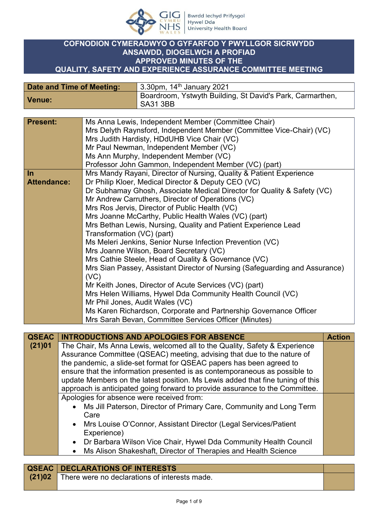

## **COFNODION CYMERADWYO O GYFARFOD Y PWYLLGOR SICRWYDD ANSAWDD, DIOGELWCH A PROFIAD APPROVED MINUTES OF THE QUALITY, SAFETY AND EXPERIENCE ASSURANCE COMMITTEE MEETING**

| Date and Time of Meeting: | 3.30pm, $14th$ January 2021                                                  |
|---------------------------|------------------------------------------------------------------------------|
| Venue:                    | Boardroom, Ystwyth Building, St David's Park, Carmarthen,<br><b>SA31 3BB</b> |

| <b>Present:</b>    | Ms Anna Lewis, Independent Member (Committee Chair)                         |
|--------------------|-----------------------------------------------------------------------------|
|                    | Mrs Delyth Raynsford, Independent Member (Committee Vice-Chair) (VC)        |
|                    | Mrs Judith Hardisty, HDdUHB Vice Chair (VC)                                 |
|                    | Mr Paul Newman, Independent Member (VC)                                     |
|                    | Ms Ann Murphy, Independent Member (VC)                                      |
|                    | Professor John Gammon, Independent Member (VC) (part)                       |
| $\ln$              | Mrs Mandy Rayani, Director of Nursing, Quality & Patient Experience         |
| <b>Attendance:</b> | Dr Philip Kloer, Medical Director & Deputy CEO (VC)                         |
|                    | Dr Subhamay Ghosh, Associate Medical Director for Quality & Safety (VC)     |
|                    | Mr Andrew Carruthers, Director of Operations (VC)                           |
|                    | Mrs Ros Jervis, Director of Public Health (VC)                              |
|                    | Mrs Joanne McCarthy, Public Health Wales (VC) (part)                        |
|                    | Mrs Bethan Lewis, Nursing, Quality and Patient Experience Lead              |
|                    | Transformation (VC) (part)                                                  |
|                    | Ms Meleri Jenkins, Senior Nurse Infection Prevention (VC)                   |
|                    | Mrs Joanne Wilson, Board Secretary (VC)                                     |
|                    | Mrs Cathie Steele, Head of Quality & Governance (VC)                        |
|                    | Mrs Sian Passey, Assistant Director of Nursing (Safeguarding and Assurance) |
|                    | (VC)                                                                        |
|                    | Mr Keith Jones, Director of Acute Services (VC) (part)                      |
|                    | Mrs Helen Williams, Hywel Dda Community Health Council (VC)                 |
|                    | Mr Phil Jones, Audit Wales (VC)                                             |
|                    | Ms Karen Richardson, Corporate and Partnership Governance Officer           |
|                    | Mrs Sarah Bevan, Committee Services Officer (Minutes)                       |
|                    |                                                                             |

| <b>QSEAC</b> | <b>INTRODUCTIONS AND APOLOGIES FOR ABSENCE</b>                                 | <b>Action</b> |
|--------------|--------------------------------------------------------------------------------|---------------|
| (21)01       | The Chair, Ms Anna Lewis, welcomed all to the Quality, Safety & Experience     |               |
|              | Assurance Committee (QSEAC) meeting, advising that due to the nature of        |               |
|              | the pandemic, a slide-set format for QSEAC papers has been agreed to           |               |
|              | ensure that the information presented is as contemporaneous as possible to     |               |
|              | update Members on the latest position. Ms Lewis added that fine tuning of this |               |
|              | approach is anticipated going forward to provide assurance to the Committee.   |               |
|              | Apologies for absence were received from:                                      |               |
|              | • Ms Jill Paterson, Director of Primary Care, Community and Long Term          |               |
|              | Care                                                                           |               |
|              | • Mrs Louise O'Connor, Assistant Director (Legal Services/Patient              |               |
|              | Experience)                                                                    |               |
|              | • Dr Barbara Wilson Vice Chair, Hywel Dda Community Health Council             |               |
|              | Ms Alison Shakeshaft, Director of Therapies and Health Science                 |               |
|              |                                                                                |               |

| QSEAC DECLARATIONS OF INTERESTS                      |  |
|------------------------------------------------------|--|
| (21)02 There were no declarations of interests made. |  |
|                                                      |  |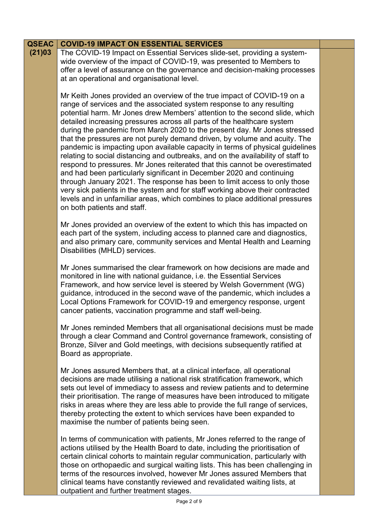| <b>QSEAC</b> | <b>COVID-19 IMPACT ON ESSENTIAL SERVICES</b>                                                                                                                                                                                                                                                                                                                                                                                                                                                                                                                                                                                                                                                                                                                                                                                                                                                                                                                                                                                                                                    |  |
|--------------|---------------------------------------------------------------------------------------------------------------------------------------------------------------------------------------------------------------------------------------------------------------------------------------------------------------------------------------------------------------------------------------------------------------------------------------------------------------------------------------------------------------------------------------------------------------------------------------------------------------------------------------------------------------------------------------------------------------------------------------------------------------------------------------------------------------------------------------------------------------------------------------------------------------------------------------------------------------------------------------------------------------------------------------------------------------------------------|--|
| (21)03       | The COVID-19 Impact on Essential Services slide-set, providing a system-<br>wide overview of the impact of COVID-19, was presented to Members to<br>offer a level of assurance on the governance and decision-making processes<br>at an operational and organisational level.                                                                                                                                                                                                                                                                                                                                                                                                                                                                                                                                                                                                                                                                                                                                                                                                   |  |
|              | Mr Keith Jones provided an overview of the true impact of COVID-19 on a<br>range of services and the associated system response to any resulting<br>potential harm. Mr Jones drew Members' attention to the second slide, which<br>detailed increasing pressures across all parts of the healthcare system<br>during the pandemic from March 2020 to the present day. Mr Jones stressed<br>that the pressures are not purely demand driven, by volume and acuity. The<br>pandemic is impacting upon available capacity in terms of physical guidelines<br>relating to social distancing and outbreaks, and on the availability of staff to<br>respond to pressures. Mr Jones reiterated that this cannot be overestimated<br>and had been particularly significant in December 2020 and continuing<br>through January 2021. The response has been to limit access to only those<br>very sick patients in the system and for staff working above their contracted<br>levels and in unfamiliar areas, which combines to place additional pressures<br>on both patients and staff. |  |
|              | Mr Jones provided an overview of the extent to which this has impacted on<br>each part of the system, including access to planned care and diagnostics,<br>and also primary care, community services and Mental Health and Learning<br>Disabilities (MHLD) services.                                                                                                                                                                                                                                                                                                                                                                                                                                                                                                                                                                                                                                                                                                                                                                                                            |  |
|              | Mr Jones summarised the clear framework on how decisions are made and<br>monitored in line with national guidance, i.e. the Essential Services<br>Framework, and how service level is steered by Welsh Government (WG)<br>guidance, introduced in the second wave of the pandemic, which includes a<br>Local Options Framework for COVID-19 and emergency response, urgent<br>cancer patients, vaccination programme and staff well-being.                                                                                                                                                                                                                                                                                                                                                                                                                                                                                                                                                                                                                                      |  |
|              | Mr Jones reminded Members that all organisational decisions must be made<br>through a clear Command and Control governance framework, consisting of<br>Bronze, Silver and Gold meetings, with decisions subsequently ratified at<br>Board as appropriate.                                                                                                                                                                                                                                                                                                                                                                                                                                                                                                                                                                                                                                                                                                                                                                                                                       |  |
|              | Mr Jones assured Members that, at a clinical interface, all operational<br>decisions are made utilising a national risk stratification framework, which<br>sets out level of immediacy to assess and review patients and to determine<br>their prioritisation. The range of measures have been introduced to mitigate<br>risks in areas where they are less able to provide the full range of services,<br>thereby protecting the extent to which services have been expanded to<br>maximise the number of patients being seen.                                                                                                                                                                                                                                                                                                                                                                                                                                                                                                                                                 |  |
|              | In terms of communication with patients, Mr Jones referred to the range of<br>actions utilised by the Health Board to date, including the prioritisation of<br>certain clinical cohorts to maintain regular communication, particularly with<br>those on orthopaedic and surgical waiting lists. This has been challenging in<br>terms of the resources involved, however Mr Jones assured Members that<br>clinical teams have constantly reviewed and revalidated waiting lists, at<br>outpatient and further treatment stages.                                                                                                                                                                                                                                                                                                                                                                                                                                                                                                                                                |  |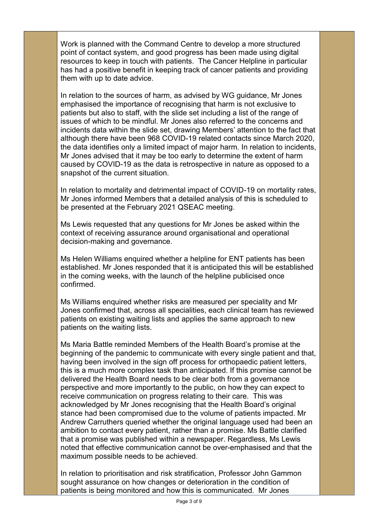Work is planned with the Command Centre to develop a more structured point of contact system, and good progress has been made using digital resources to keep in touch with patients. The Cancer Helpline in particular has had a positive benefit in keeping track of cancer patients and providing them with up to date advice.

In relation to the sources of harm, as advised by WG guidance, Mr Jones emphasised the importance of recognising that harm is not exclusive to patients but also to staff, with the slide set including a list of the range of issues of which to be mindful. Mr Jones also referred to the concerns and incidents data within the slide set, drawing Members' attention to the fact that although there have been 968 COVID-19 related contacts since March 2020, the data identifies only a limited impact of major harm. In relation to incidents, Mr Jones advised that it may be too early to determine the extent of harm caused by COVID-19 as the data is retrospective in nature as opposed to a snapshot of the current situation.

In relation to mortality and detrimental impact of COVID-19 on mortality rates, Mr Jones informed Members that a detailed analysis of this is scheduled to be presented at the February 2021 QSEAC meeting.

Ms Lewis requested that any questions for Mr Jones be asked within the context of receiving assurance around organisational and operational decision-making and governance.

Ms Helen Williams enquired whether a helpline for ENT patients has been established. Mr Jones responded that it is anticipated this will be established in the coming weeks, with the launch of the helpline publicised once confirmed.

Ms Williams enquired whether risks are measured per speciality and Mr Jones confirmed that, across all specialities, each clinical team has reviewed patients on existing waiting lists and applies the same approach to new patients on the waiting lists.

Ms Maria Battle reminded Members of the Health Board's promise at the beginning of the pandemic to communicate with every single patient and that, having been involved in the sign off process for orthopaedic patient letters, this is a much more complex task than anticipated. If this promise cannot be delivered the Health Board needs to be clear both from a governance perspective and more importantly to the public, on how they can expect to receive communication on progress relating to their care. This was acknowledged by Mr Jones recognising that the Health Board's original stance had been compromised due to the volume of patients impacted. Mr Andrew Carruthers queried whether the original language used had been an ambition to contact every patient, rather than a promise. Ms Battle clarified that a promise was published within a newspaper. Regardless, Ms Lewis noted that effective communication cannot be over-emphasised and that the maximum possible needs to be achieved.

In relation to prioritisation and risk stratification, Professor John Gammon sought assurance on how changes or deterioration in the condition of patients is being monitored and how this is communicated. Mr Jones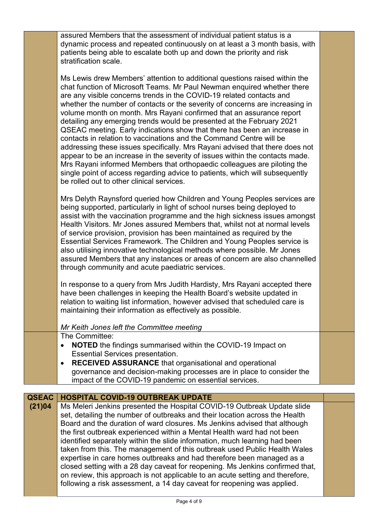|              | assured Members that the assessment of individual patient status is a<br>dynamic process and repeated continuously on at least a 3 month basis, with<br>patients being able to escalate both up and down the priority and risk<br>stratification scale.                                                                                                                                                                                                                                                                                                                                                                                                                                                                                                                                                                                                                                                                                                                                    |  |
|--------------|--------------------------------------------------------------------------------------------------------------------------------------------------------------------------------------------------------------------------------------------------------------------------------------------------------------------------------------------------------------------------------------------------------------------------------------------------------------------------------------------------------------------------------------------------------------------------------------------------------------------------------------------------------------------------------------------------------------------------------------------------------------------------------------------------------------------------------------------------------------------------------------------------------------------------------------------------------------------------------------------|--|
|              | Ms Lewis drew Members' attention to additional questions raised within the<br>chat function of Microsoft Teams. Mr Paul Newman enquired whether there<br>are any visible concerns trends in the COVID-19 related contacts and<br>whether the number of contacts or the severity of concerns are increasing in<br>volume month on month. Mrs Rayani confirmed that an assurance report<br>detailing any emerging trends would be presented at the February 2021<br>QSEAC meeting. Early indications show that there has been an increase in<br>contacts in relation to vaccinations and the Command Centre will be<br>addressing these issues specifically. Mrs Rayani advised that there does not<br>appear to be an increase in the severity of issues within the contacts made.<br>Mrs Rayani informed Members that orthopaedic colleagues are piloting the<br>single point of access regarding advice to patients, which will subsequently<br>be rolled out to other clinical services. |  |
|              | Mrs Delyth Raynsford queried how Children and Young Peoples services are<br>being supported, particularly in light of school nurses being deployed to<br>assist with the vaccination programme and the high sickness issues amongst<br>Health Visitors. Mr Jones assured Members that, whilst not at normal levels<br>of service provision, provision has been maintained as required by the<br>Essential Services Framework. The Children and Young Peoples service is<br>also utilising innovative technological methods where possible. Mr Jones<br>assured Members that any instances or areas of concern are also channelled<br>through community and acute paediatric services.                                                                                                                                                                                                                                                                                                      |  |
|              | In response to a query from Mrs Judith Hardisty, Mrs Rayani accepted there<br>have been challenges in keeping the Health Board's website updated in<br>relation to waiting list information, however advised that scheduled care is<br>maintaining their information as effectively as possible.                                                                                                                                                                                                                                                                                                                                                                                                                                                                                                                                                                                                                                                                                           |  |
|              | Mr Keith Jones left the Committee meeting                                                                                                                                                                                                                                                                                                                                                                                                                                                                                                                                                                                                                                                                                                                                                                                                                                                                                                                                                  |  |
|              | The Committee:<br><b>NOTED</b> the findings summarised within the COVID-19 Impact on<br><b>Essential Services presentation.</b><br><b>RECEIVED ASSURANCE</b> that organisational and operational<br>$\bullet$                                                                                                                                                                                                                                                                                                                                                                                                                                                                                                                                                                                                                                                                                                                                                                              |  |
|              | governance and decision-making processes are in place to consider the                                                                                                                                                                                                                                                                                                                                                                                                                                                                                                                                                                                                                                                                                                                                                                                                                                                                                                                      |  |
|              | impact of the COVID-19 pandemic on essential services.                                                                                                                                                                                                                                                                                                                                                                                                                                                                                                                                                                                                                                                                                                                                                                                                                                                                                                                                     |  |
| <b>QSEAC</b> | <b>HOSPITAL COVID-19 OUTBREAK UPDATE</b>                                                                                                                                                                                                                                                                                                                                                                                                                                                                                                                                                                                                                                                                                                                                                                                                                                                                                                                                                   |  |
| (21)04       | Ms Meleri Jenkins presented the Hospital COVID-19 Outbreak Update slide<br>set, detailing the number of outbreaks and their location across the Health<br>Board and the duration of ward closures. Ms Jenkins advised that although<br>the first outbreak experienced within a Mental Health ward had not been                                                                                                                                                                                                                                                                                                                                                                                                                                                                                                                                                                                                                                                                             |  |

identified separately within the slide information, much learning had been taken from this. The management of this outbreak used Public Health Wales expertise in care homes outbreaks and had therefore been managed as a closed setting with a 28 day caveat for reopening. Ms Jenkins confirmed that, on review, this approach is not applicable to an acute setting and therefore, following a risk assessment, a 14 day caveat for reopening was applied.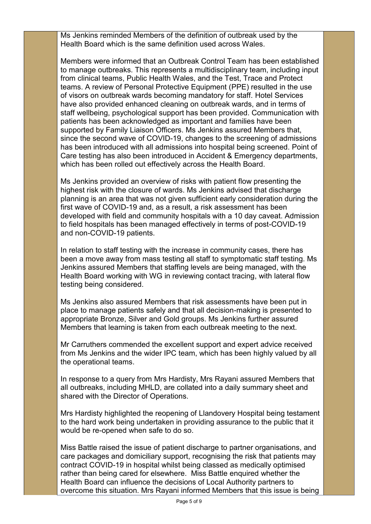Ms Jenkins reminded Members of the definition of outbreak used by the Health Board which is the same definition used across Wales.

Members were informed that an Outbreak Control Team has been established to manage outbreaks. This represents a multidisciplinary team, including input from clinical teams, Public Health Wales, and the Test, Trace and Protect teams. A review of Personal Protective Equipment (PPE) resulted in the use of visors on outbreak wards becoming mandatory for staff. Hotel Services have also provided enhanced cleaning on outbreak wards, and in terms of staff wellbeing, psychological support has been provided. Communication with patients has been acknowledged as important and families have been supported by Family Liaison Officers. Ms Jenkins assured Members that, since the second wave of COVID-19, changes to the screening of admissions has been introduced with all admissions into hospital being screened. Point of Care testing has also been introduced in Accident & Emergency departments, which has been rolled out effectively across the Health Board.

Ms Jenkins provided an overview of risks with patient flow presenting the highest risk with the closure of wards. Ms Jenkins advised that discharge planning is an area that was not given sufficient early consideration during the first wave of COVID-19 and, as a result, a risk assessment has been developed with field and community hospitals with a 10 day caveat. Admission to field hospitals has been managed effectively in terms of post-COVID-19 and non-COVID-19 patients.

In relation to staff testing with the increase in community cases, there has been a move away from mass testing all staff to symptomatic staff testing. Ms Jenkins assured Members that staffing levels are being managed, with the Health Board working with WG in reviewing contact tracing, with lateral flow testing being considered.

Ms Jenkins also assured Members that risk assessments have been put in place to manage patients safely and that all decision-making is presented to appropriate Bronze, Silver and Gold groups. Ms Jenkins further assured Members that learning is taken from each outbreak meeting to the next.

Mr Carruthers commended the excellent support and expert advice received from Ms Jenkins and the wider IPC team, which has been highly valued by all the operational teams.

In response to a query from Mrs Hardisty, Mrs Rayani assured Members that all outbreaks, including MHLD, are collated into a daily summary sheet and shared with the Director of Operations.

Mrs Hardisty highlighted the reopening of Llandovery Hospital being testament to the hard work being undertaken in providing assurance to the public that it would be re-opened when safe to do so.

Miss Battle raised the issue of patient discharge to partner organisations, and care packages and domiciliary support, recognising the risk that patients may contract COVID-19 in hospital whilst being classed as medically optimised rather than being cared for elsewhere. Miss Battle enquired whether the Health Board can influence the decisions of Local Authority partners to overcome this situation. Mrs Rayani informed Members that this issue is being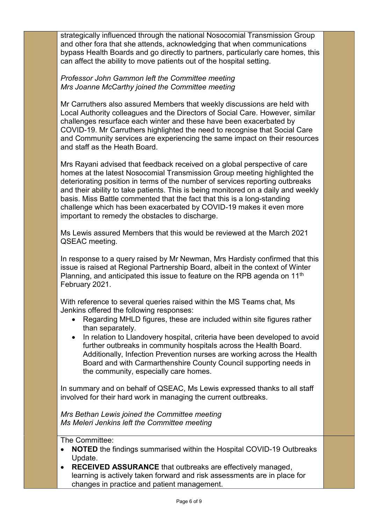strategically influenced through the national Nosocomial Transmission Group and other fora that she attends, acknowledging that when communications bypass Health Boards and go directly to partners, particularly care homes, this can affect the ability to move patients out of the hospital setting.

## *Professor John Gammon left the Committee meeting Mrs Joanne McCarthy joined the Committee meeting*

Mr Carruthers also assured Members that weekly discussions are held with Local Authority colleagues and the Directors of Social Care. However, similar challenges resurface each winter and these have been exacerbated by COVID-19. Mr Carruthers highlighted the need to recognise that Social Care and Community services are experiencing the same impact on their resources and staff as the Heath Board.

Mrs Rayani advised that feedback received on a global perspective of care homes at the latest Nosocomial Transmission Group meeting highlighted the deteriorating position in terms of the number of services reporting outbreaks and their ability to take patients. This is being monitored on a daily and weekly basis. Miss Battle commented that the fact that this is a long-standing challenge which has been exacerbated by COVID-19 makes it even more important to remedy the obstacles to discharge.

Ms Lewis assured Members that this would be reviewed at the March 2021 QSEAC meeting.

In response to a query raised by Mr Newman, Mrs Hardisty confirmed that this issue is raised at Regional Partnership Board, albeit in the context of Winter Planning, and anticipated this issue to feature on the RPB agenda on 11<sup>th</sup> February 2021.

With reference to several queries raised within the MS Teams chat, Ms Jenkins offered the following responses:

- Regarding MHLD figures, these are included within site figures rather than separately.
- In relation to Llandovery hospital, criteria have been developed to avoid further outbreaks in community hospitals across the Health Board. Additionally, Infection Prevention nurses are working across the Health Board and with Carmarthenshire County Council supporting needs in the community, especially care homes.

In summary and on behalf of QSEAC, Ms Lewis expressed thanks to all staff involved for their hard work in managing the current outbreaks.

*Mrs Bethan Lewis joined the Committee meeting Ms Meleri Jenkins left the Committee meeting*

The Committee:

- **NOTED** the findings summarised within the Hospital COVID-19 Outbreaks Update.
- **RECEIVED ASSURANCE** that outbreaks are effectively managed, learning is actively taken forward and risk assessments are in place for changes in practice and patient management.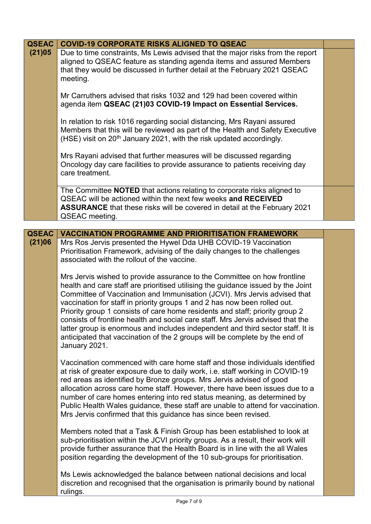| <b>QSEAC</b> | <b>COVID-19 CORPORATE RISKS ALIGNED TO QSEAC</b>                                                                                                                                                                                                                                                                                                                                                                                                                                                                                                                                                                                                                             |  |
|--------------|------------------------------------------------------------------------------------------------------------------------------------------------------------------------------------------------------------------------------------------------------------------------------------------------------------------------------------------------------------------------------------------------------------------------------------------------------------------------------------------------------------------------------------------------------------------------------------------------------------------------------------------------------------------------------|--|
| (21)05       | Due to time constraints, Ms Lewis advised that the major risks from the report<br>aligned to QSEAC feature as standing agenda items and assured Members<br>that they would be discussed in further detail at the February 2021 QSEAC<br>meeting.                                                                                                                                                                                                                                                                                                                                                                                                                             |  |
|              | Mr Carruthers advised that risks 1032 and 129 had been covered within<br>agenda item QSEAC (21)03 COVID-19 Impact on Essential Services.                                                                                                                                                                                                                                                                                                                                                                                                                                                                                                                                     |  |
|              | In relation to risk 1016 regarding social distancing, Mrs Rayani assured<br>Members that this will be reviewed as part of the Health and Safety Executive<br>(HSE) visit on 20 <sup>th</sup> January 2021, with the risk updated accordingly.                                                                                                                                                                                                                                                                                                                                                                                                                                |  |
|              | Mrs Rayani advised that further measures will be discussed regarding<br>Oncology day care facilities to provide assurance to patients receiving day<br>care treatment.                                                                                                                                                                                                                                                                                                                                                                                                                                                                                                       |  |
|              | The Committee NOTED that actions relating to corporate risks aligned to<br>QSEAC will be actioned within the next few weeks and RECEIVED<br>ASSURANCE that these risks will be covered in detail at the February 2021<br>QSEAC meeting.                                                                                                                                                                                                                                                                                                                                                                                                                                      |  |
|              |                                                                                                                                                                                                                                                                                                                                                                                                                                                                                                                                                                                                                                                                              |  |
| <b>QSEAC</b> | <b>VACCINATION PROGRAMME AND PRIORITISATION FRAMEWORK</b>                                                                                                                                                                                                                                                                                                                                                                                                                                                                                                                                                                                                                    |  |
| (21)06       | Mrs Ros Jervis presented the Hywel Dda UHB COVID-19 Vaccination<br>Prioritisation Framework, advising of the daily changes to the challenges<br>associated with the rollout of the vaccine.                                                                                                                                                                                                                                                                                                                                                                                                                                                                                  |  |
|              | Mrs Jervis wished to provide assurance to the Committee on how frontline<br>health and care staff are prioritised utilising the guidance issued by the Joint<br>Committee of Vaccination and Immunisation (JCVI). Mrs Jervis advised that<br>vaccination for staff in priority groups 1 and 2 has now been rolled out.<br>Priority group 1 consists of care home residents and staff; priority group 2<br>consists of frontline health and social care staff. Mrs Jervis advised that the<br>latter group is enormous and includes independent and third sector staff. It is<br>anticipated that vaccination of the 2 groups will be complete by the end of<br>January 2021. |  |
|              | Vaccination commenced with care home staff and those individuals identified<br>at risk of greater exposure due to daily work, i.e. staff working in COVID-19<br>red areas as identified by Bronze groups. Mrs Jervis advised of good<br>allocation across care home staff. However, there have been issues due to a<br>number of care homes entering into red status meaning, as determined by<br>Public Health Wales guidance, these staff are unable to attend for vaccination.<br>Mrs Jervis confirmed that this guidance has since been revised.                                                                                                                         |  |
|              | Members noted that a Task & Finish Group has been established to look at<br>sub-prioritisation within the JCVI priority groups. As a result, their work will<br>provide further assurance that the Health Board is in line with the all Wales<br>position regarding the development of the 10 sub-groups for prioritisation.                                                                                                                                                                                                                                                                                                                                                 |  |
|              | Ms Lewis acknowledged the balance between national decisions and local<br>discretion and recognised that the organisation is primarily bound by national<br>rulings.                                                                                                                                                                                                                                                                                                                                                                                                                                                                                                         |  |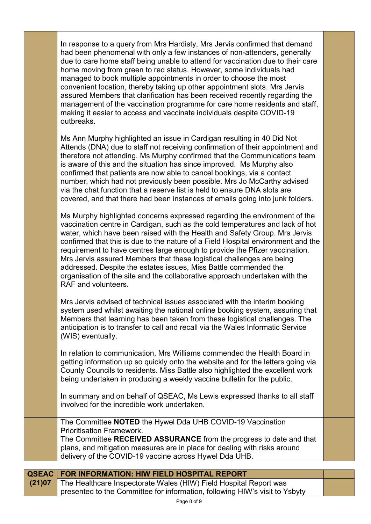|              | In response to a query from Mrs Hardisty, Mrs Jervis confirmed that demand<br>had been phenomenal with only a few instances of non-attenders, generally<br>due to care home staff being unable to attend for vaccination due to their care<br>home moving from green to red status. However, some individuals had<br>managed to book multiple appointments in order to choose the most<br>convenient location, thereby taking up other appointment slots. Mrs Jervis<br>assured Members that clarification has been received recently regarding the<br>management of the vaccination programme for care home residents and staff,<br>making it easier to access and vaccinate individuals despite COVID-19<br>outbreaks. |  |
|--------------|--------------------------------------------------------------------------------------------------------------------------------------------------------------------------------------------------------------------------------------------------------------------------------------------------------------------------------------------------------------------------------------------------------------------------------------------------------------------------------------------------------------------------------------------------------------------------------------------------------------------------------------------------------------------------------------------------------------------------|--|
|              | Ms Ann Murphy highlighted an issue in Cardigan resulting in 40 Did Not<br>Attends (DNA) due to staff not receiving confirmation of their appointment and<br>therefore not attending. Ms Murphy confirmed that the Communications team<br>is aware of this and the situation has since improved. Ms Murphy also<br>confirmed that patients are now able to cancel bookings, via a contact<br>number, which had not previously been possible. Mrs Jo McCarthy advised<br>via the chat function that a reserve list is held to ensure DNA slots are<br>covered, and that there had been instances of emails going into junk folders.                                                                                        |  |
|              | Ms Murphy highlighted concerns expressed regarding the environment of the<br>vaccination centre in Cardigan, such as the cold temperatures and lack of hot<br>water, which have been raised with the Health and Safety Group. Mrs Jervis<br>confirmed that this is due to the nature of a Field Hospital environment and the<br>requirement to have centres large enough to provide the Pfizer vaccination.<br>Mrs Jervis assured Members that these logistical challenges are being<br>addressed. Despite the estates issues, Miss Battle commended the<br>organisation of the site and the collaborative approach undertaken with the<br>RAF and volunteers.                                                           |  |
|              | Mrs Jervis advised of technical issues associated with the interim booking<br>system used whilst awaiting the national online booking system, assuring that<br>Members that learning has been taken from these logistical challenges. The<br>anticipation is to transfer to call and recall via the Wales Informatic Service<br>(WIS) eventually.                                                                                                                                                                                                                                                                                                                                                                        |  |
|              | In relation to communication, Mrs Williams commended the Health Board in<br>getting information up so quickly onto the website and for the letters going via<br>County Councils to residents. Miss Battle also highlighted the excellent work<br>being undertaken in producing a weekly vaccine bulletin for the public.                                                                                                                                                                                                                                                                                                                                                                                                 |  |
|              | In summary and on behalf of QSEAC, Ms Lewis expressed thanks to all staff<br>involved for the incredible work undertaken.                                                                                                                                                                                                                                                                                                                                                                                                                                                                                                                                                                                                |  |
|              | The Committee NOTED the Hywel Dda UHB COVID-19 Vaccination<br><b>Prioritisation Framework.</b><br>The Committee RECEIVED ASSURANCE from the progress to date and that<br>plans, and mitigation measures are in place for dealing with risks around<br>delivery of the COVID-19 vaccine across Hywel Dda UHB.                                                                                                                                                                                                                                                                                                                                                                                                             |  |
| <b>QSEAC</b> | FOR INFORMATION: HIW FIELD HOSPITAL REPORT                                                                                                                                                                                                                                                                                                                                                                                                                                                                                                                                                                                                                                                                               |  |

×.

| (21)07 | The Healthcare Inspectorate Wales (HIW) Field Hospital Report was           |
|--------|-----------------------------------------------------------------------------|
|        | presented to the Committee for information, following HIW's visit to Ysbyty |